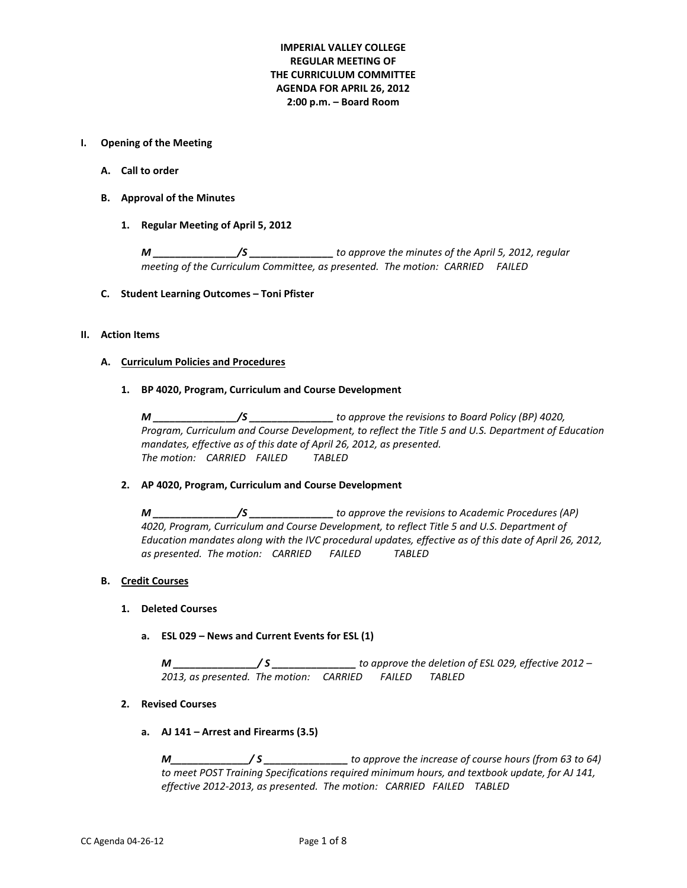# **IMPERIAL VALLEY COLLEGE REGULAR MEETING OF THE CURRICULUM COMMITTEE AGENDA FOR APRIL 26, 2012 2:00 p.m. – Board Room**

#### **I. Opening of the Meeting**

- **A. Call to order**
- **B. Approval of the Minutes**
	- **1. Regular Meeting of April 5, 2012**

*M \_\_\_\_\_\_\_\_\_\_\_\_\_\_\_/S \_\_\_\_\_\_\_\_\_\_\_\_\_\_\_ to approve the minutes of the April 5, 2012, regular meeting of the Curriculum Committee, as presented. The motion: CARRIED FAILED* 

#### **C. Student Learning Outcomes – Toni Pfister**

#### **II. Action Items**

#### **A. Curriculum Policies and Procedures**

**1. BP 4020, Program, Curriculum and Course Development**

*M \_\_\_\_\_\_\_\_\_\_\_\_\_\_\_/S \_\_\_\_\_\_\_\_\_\_\_\_\_\_\_ to approve the revisions to Board Policy (BP) 4020, Program, Curriculum and Course Development, to reflect the Title 5 and U.S. Department of Education mandates, effective as of this date of April 26, 2012, as presented. The motion: CARRIED FAILED TABLED*

#### **2. AP 4020, Program, Curriculum and Course Development**

*M \_\_\_\_\_\_\_\_\_\_\_\_\_\_\_/S \_\_\_\_\_\_\_\_\_\_\_\_\_\_\_ to approve the revisions to Academic Procedures (AP) 4020, Program, Curriculum and Course Development, to reflect Title 5 and U.S. Department of Education mandates along with the IVC procedural updates, effective as of this date of April 26, 2012, as presented. The motion: CARRIED FAILED TABLED*

### **B. Credit Courses**

# **1. Deleted Courses**

**a. ESL 029 – News and Current Events for ESL (1)**

*M \_\_\_\_\_\_\_\_\_\_\_\_\_\_\_/ S \_\_\_\_\_\_\_\_\_\_\_\_\_\_\_ to approve the deletion of ESL 029, effective 2012 – 2013, as presented. The motion: CARRIED FAILED TABLED* 

### **2. Revised Courses**

**a. AJ 141 – Arrest and Firearms (3.5)**

*M\_\_\_\_\_\_\_\_\_\_\_\_\_\_/ S \_\_\_\_\_\_\_\_\_\_\_\_\_\_\_ to approve the increase of course hours (from 63 to 64) to meet POST Training Specifications required minimum hours, and textbook update, for AJ 141, effective 2012-2013, as presented. The motion: CARRIED FAILED TABLED*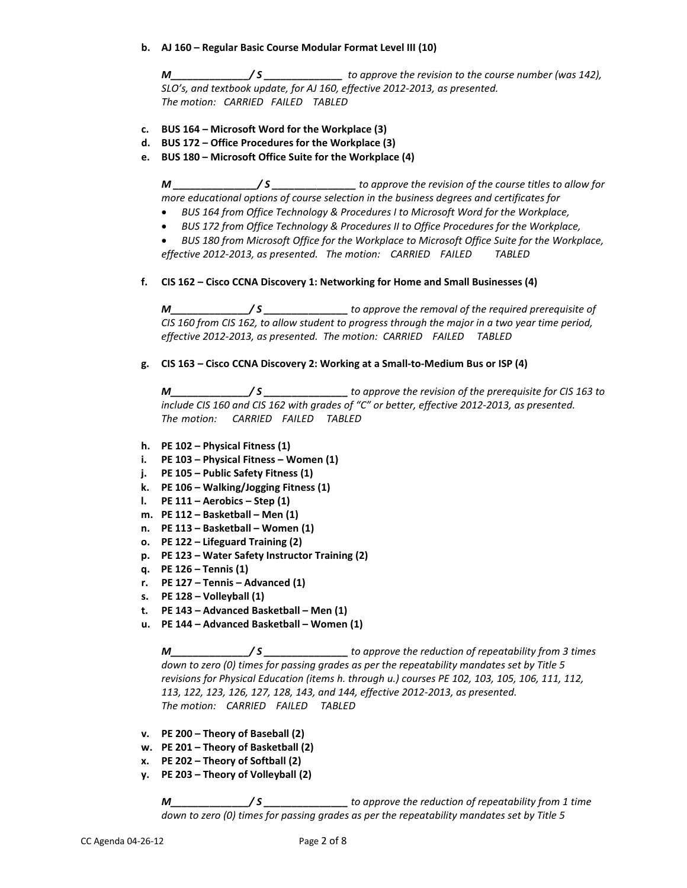# **b. AJ 160 – Regular Basic Course Modular Format Level III (10)**

*M\_\_\_\_\_\_\_\_\_\_\_\_\_\_/ S \_\_\_\_\_\_\_\_\_\_\_\_\_\_ to approve the revision to the course number (was 142), SLO's, and textbook update, for AJ 160, effective 2012-2013, as presented. The motion: CARRIED FAILED TABLED*

- **c. BUS 164 – Microsoft Word for the Workplace (3)**
- **d. BUS 172 – Office Procedures for the Workplace (3)**
- **e. BUS 180 – Microsoft Office Suite for the Workplace (4)**

*M \_\_\_\_\_\_\_\_\_\_\_\_\_\_\_/ S \_\_\_\_\_\_\_\_\_\_\_\_\_\_\_ to approve the revision of the course titles to allow for more educational options of course selection in the business degrees and certificates for*

- *BUS 164 from Office Technology & Procedures I to Microsoft Word for the Workplace,*
- *BUS 172 from Office Technology & Procedures II to Office Procedures for the Workplace,*

• *BUS 180 from Microsoft Office for the Workplace to Microsoft Office Suite for the Workplace, effective 2012-2013, as presented. The motion: CARRIED FAILED TABLED*

**f. CIS 162 – Cisco CCNA Discovery 1: Networking for Home and Small Businesses (4)**

*M\_\_\_\_\_\_\_\_\_\_\_\_\_\_/ S \_\_\_\_\_\_\_\_\_\_\_\_\_\_\_ to approve the removal of the required prerequisite of CIS 160 from CIS 162, to allow student to progress through the major in a two year time period, effective 2012-2013, as presented. The motion: CARRIED FAILED TABLED*

# **g. CIS 163 – Cisco CCNA Discovery 2: Working at a Small-to-Medium Bus or ISP (4)**

*M\_\_\_\_\_\_\_\_\_\_\_\_\_\_/ S \_\_\_\_\_\_\_\_\_\_\_\_\_\_\_ to approve the revision of the prerequisite for CIS 163 to include CIS 160 and CIS 162 with grades of "C" or better, effective 2012-2013, as presented. The motion: CARRIED FAILED TABLED*

- **h. PE 102 – Physical Fitness (1)**
- **i. PE 103 – Physical Fitness – Women (1)**
- **j. PE 105 – Public Safety Fitness (1)**
- **k. PE 106 – Walking/Jogging Fitness (1)**
- **l. PE 111 – Aerobics – Step (1)**
- **m. PE 112 – Basketball – Men (1)**
- **n. PE 113 – Basketball – Women (1)**
- **o. PE 122 – Lifeguard Training (2)**
- **p. PE 123 – Water Safety Instructor Training (2)**
- **q. PE 126 – Tennis (1)**
- **r. PE 127 – Tennis – Advanced (1)**
- **s. PE 128 – Volleyball (1)**
- **t. PE 143 – Advanced Basketball – Men (1)**
- **u. PE 144 – Advanced Basketball – Women (1)**

*M\_\_\_\_\_\_\_\_\_\_\_\_\_\_/ S \_\_\_\_\_\_\_\_\_\_\_\_\_\_\_ to approve the reduction of repeatability from 3 times down to zero (0) times for passing grades as per the repeatability mandates set by Title 5 revisions for Physical Education (items h. through u.) courses PE 102, 103, 105, 106, 111, 112, 113, 122, 123, 126, 127, 128, 143, and 144, effective 2012-2013, as presented. The motion: CARRIED FAILED TABLED*

- **v. PE 200 – Theory of Baseball (2)**
- **w. PE 201 – Theory of Basketball (2)**
- **x. PE 202 – Theory of Softball (2)**
- **y. PE 203 – Theory of Volleyball (2)**

*M\_\_\_\_\_\_\_\_\_\_\_\_\_\_/ S \_\_\_\_\_\_\_\_\_\_\_\_\_\_\_ to approve the reduction of repeatability from 1 time down to zero (0) times for passing grades as per the repeatability mandates set by Title 5*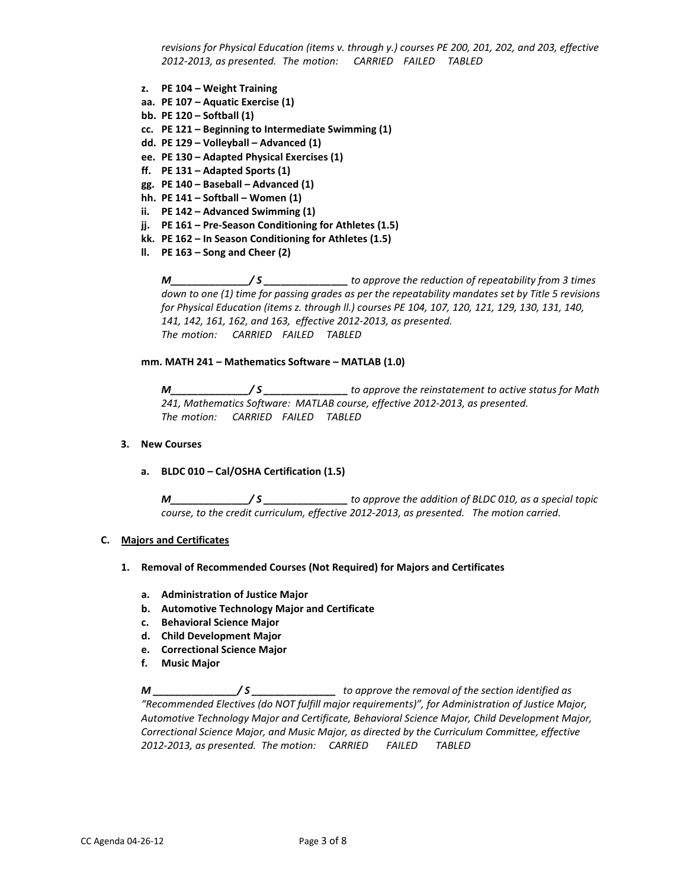*revisions for Physical Education (items v. through y.) courses PE 200, 201, 202, and 203, effective 2012-2013, as presented. The motion: CARRIED FAILED TABLED*

- **z. PE 104 – Weight Training**
- **aa. PE 107 – Aquatic Exercise (1)**
- **bb. PE 120 – Softball (1)**
- **cc. PE 121 – Beginning to Intermediate Swimming (1)**
- **dd. PE 129 – Volleyball – Advanced (1)**
- **ee. PE 130 – Adapted Physical Exercises (1)**
- **ff. PE 131 – Adapted Sports (1)**
- **gg. PE 140 – Baseball – Advanced (1)**
- **hh. PE 141 – Softball – Women (1)**
- **ii. PE 142 – Advanced Swimming (1)**
- **jj. PE 161 – Pre-Season Conditioning for Athletes (1.5)**
- **kk. PE 162 – In Season Conditioning for Athletes (1.5)**
- **ll. PE 163 – Song and Cheer (2)**

*M\_\_\_\_\_\_\_\_\_\_\_\_\_\_/ S \_\_\_\_\_\_\_\_\_\_\_\_\_\_\_ to approve the reduction of repeatability from 3 times down to one (1) time for passing grades as per the repeatability mandates set by Title 5 revisions for Physical Education (items z. through ll.) courses PE 104, 107, 120, 121, 129, 130, 131, 140, 141, 142, 161, 162, and 163, effective 2012-2013, as presented. The motion: CARRIED FAILED TABLED*

#### **mm. MATH 241 – Mathematics Software – MATLAB (1.0)**

*M\_\_\_\_\_\_\_\_\_\_\_\_\_\_/ S \_\_\_\_\_\_\_\_\_\_\_\_\_\_\_ to approve the reinstatement to active status for Math 241, Mathematics Software: MATLAB course, effective 2012-2013, as presented. The motion: CARRIED FAILED TABLED*

#### **3. New Courses**

**a. BLDC 010 – Cal/OSHA Certification (1.5)**

*M\_\_\_\_\_\_\_\_\_\_\_\_\_\_/ S \_\_\_\_\_\_\_\_\_\_\_\_\_\_\_ to approve the addition of BLDC 010, as a special topic course, to the credit curriculum, effective 2012-2013, as presented. The motion carried.*

#### **C. Majors and Certificates**

#### **1. Removal of Recommended Courses (Not Required) for Majors and Certificates**

- **a. Administration of Justice Major**
- **b. Automotive Technology Major and Certificate**
- **c. Behavioral Science Major**
- **d. Child Development Major**
- **e. Correctional Science Major**
- **f. Music Major**

*M \_\_\_\_\_\_\_\_\_\_\_\_\_\_\_/ S \_\_\_\_\_\_\_\_\_\_\_\_\_\_\_ to approve the removal of the section identified as "Recommended Electives (do NOT fulfill major requirements)", for Administration of Justice Major, Automotive Technology Major and Certificate, Behavioral Science Major, Child Development Major, Correctional Science Major, and Music Major, as directed by the Curriculum Committee, effective 2012-2013, as presented. The motion: CARRIED FAILED TABLED*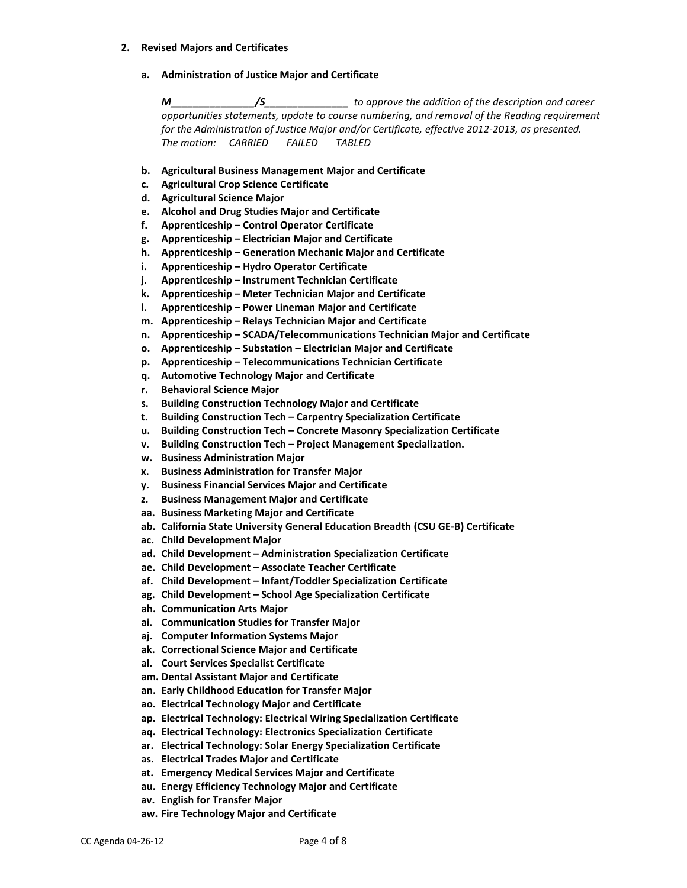#### **2. Revised Majors and Certificates**

**a. Administration of Justice Major and Certificate**

*M\_\_\_\_\_\_\_\_\_\_\_\_\_\_\_/S\_\_\_\_\_\_\_\_\_\_\_\_\_\_\_ to approve the addition of the description and career opportunities statements, update to course numbering, and removal of the Reading requirement for the Administration of Justice Major and/or Certificate, effective 2012-2013, as presented. The motion: CARRIED FAILED TABLED*

- **b. Agricultural Business Management Major and Certificate**
- **c. Agricultural Crop Science Certificate**
- **d. Agricultural Science Major**
- **e. Alcohol and Drug Studies Major and Certificate**
- **f. Apprenticeship – Control Operator Certificate**
- **g. Apprenticeship – Electrician Major and Certificate**
- **h. Apprenticeship – Generation Mechanic Major and Certificate**
- **i. Apprenticeship – Hydro Operator Certificate**
- **j. Apprenticeship – Instrument Technician Certificate**
- **k. Apprenticeship – Meter Technician Major and Certificate**
- **l. Apprenticeship – Power Lineman Major and Certificate**
- **m. Apprenticeship – Relays Technician Major and Certificate**
- **n. Apprenticeship – SCADA/Telecommunications Technician Major and Certificate**
- **o. Apprenticeship – Substation – Electrician Major and Certificate**
- **p. Apprenticeship – Telecommunications Technician Certificate**
- **q. Automotive Technology Major and Certificate**
- **r. Behavioral Science Major**
- **s. Building Construction Technology Major and Certificate**
- **t. Building Construction Tech – Carpentry Specialization Certificate**
- **u. Building Construction Tech – Concrete Masonry Specialization Certificate**
- **v. Building Construction Tech – Project Management Specialization.**
- **w. Business Administration Major**
- **x. Business Administration for Transfer Major**
- **y. Business Financial Services Major and Certificate**
- **z. Business Management Major and Certificate**
- **aa. Business Marketing Major and Certificate**
- **ab. California State University General Education Breadth (CSU GE-B) Certificate**
- **ac. Child Development Major**
- **ad. Child Development – Administration Specialization Certificate**
- **ae. Child Development – Associate Teacher Certificate**
- **af. Child Development – Infant/Toddler Specialization Certificate**
- **ag. Child Development – School Age Specialization Certificate**
- **ah. Communication Arts Major**
- **ai. Communication Studies for Transfer Major**
- **aj. Computer Information Systems Major**
- **ak. Correctional Science Major and Certificate**
- **al. Court Services Specialist Certificate**
- **am. Dental Assistant Major and Certificate**
- **an. Early Childhood Education for Transfer Major**
- **ao. Electrical Technology Major and Certificate**
- **ap. Electrical Technology: Electrical Wiring Specialization Certificate**
- **aq. Electrical Technology: Electronics Specialization Certificate**
- **ar. Electrical Technology: Solar Energy Specialization Certificate**
- **as. Electrical Trades Major and Certificate**
- **at. Emergency Medical Services Major and Certificate**
- **au. Energy Efficiency Technology Major and Certificate**
- **av. English for Transfer Major**
- **aw. Fire Technology Major and Certificate**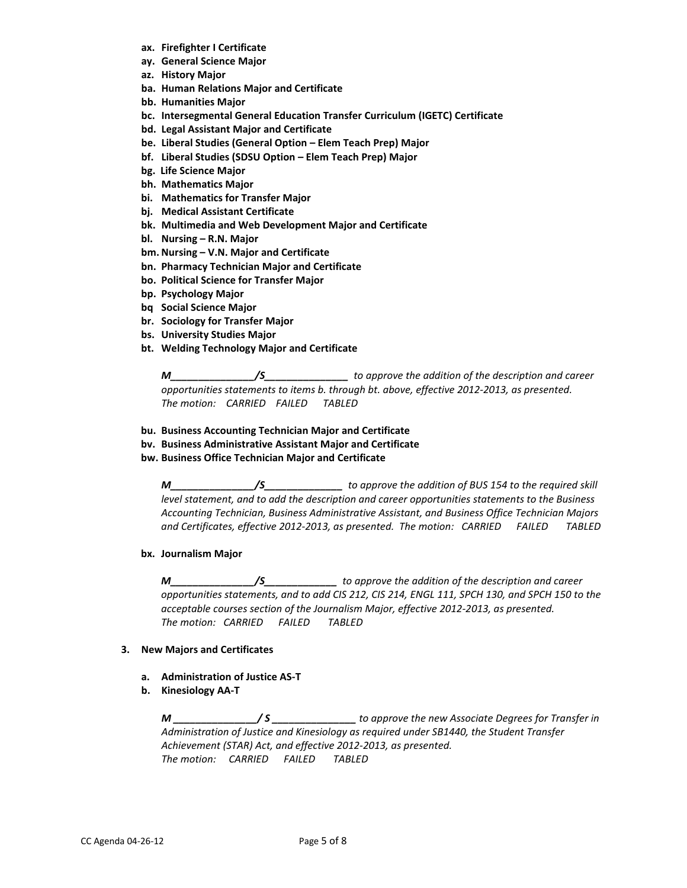- **ax. Firefighter I Certificate**
- **ay. General Science Major**
- **az. History Major**
- **ba. Human Relations Major and Certificate**
- **bb. Humanities Major**
- **bc. Intersegmental General Education Transfer Curriculum (IGETC) Certificate**
- **bd. Legal Assistant Major and Certificate**
- **be. Liberal Studies (General Option – Elem Teach Prep) Major**
- **bf. Liberal Studies (SDSU Option – Elem Teach Prep) Major**
- **bg. Life Science Major**
- **bh. Mathematics Major**
- **bi. Mathematics for Transfer Major**
- **bj. Medical Assistant Certificate**
- **bk. Multimedia and Web Development Major and Certificate**
- **bl. Nursing – R.N. Major**
- **bm. Nursing – V.N. Major and Certificate**
- **bn. Pharmacy Technician Major and Certificate**
- **bo. Political Science for Transfer Major**
- **bp. Psychology Major**
- **bq Social Science Major**
- **br. Sociology for Transfer Major**
- **bs. University Studies Major**
- **bt. Welding Technology Major and Certificate**

*M\_\_\_\_\_\_\_\_\_\_\_\_\_\_\_/S\_\_\_\_\_\_\_\_\_\_\_\_\_\_\_ to approve the addition of the description and career opportunities statements to items b. through bt. above, effective 2012-2013, as presented. The motion: CARRIED FAILED TABLED*

- **bu. Business Accounting Technician Major and Certificate**
- **bv. Business Administrative Assistant Major and Certificate**
- **bw. Business Office Technician Major and Certificate**

*M\_\_\_\_\_\_\_\_\_\_\_\_\_\_\_/S\_\_\_\_\_\_\_\_\_\_\_\_\_\_ to approve the addition of BUS 154 to the required skill level statement, and to add the description and career opportunities statements to the Business Accounting Technician, Business Administrative Assistant, and Business Office Technician Majors and Certificates, effective 2012-2013, as presented. The motion: CARRIED FAILED TABLED*

**bx. Journalism Major**

*M\_\_\_\_\_\_\_\_\_\_\_\_\_\_\_/S\_\_\_\_\_\_\_\_\_\_\_\_\_ to approve the addition of the description and career opportunities statements, and to add CIS 212, CIS 214, ENGL 111, SPCH 130, and SPCH 150 to the acceptable courses section of the Journalism Major, effective 2012-2013, as presented. The motion: CARRIED FAILED TABLED*

### **3. New Majors and Certificates**

- **a. Administration of Justice AS-T**
- **b. Kinesiology AA-T**

*M \_\_\_\_\_\_\_\_\_\_\_\_\_\_\_/ S \_\_\_\_\_\_\_\_\_\_\_\_\_\_\_ to approve the new Associate Degrees for Transfer in Administration of Justice and Kinesiology as required under SB1440, the Student Transfer Achievement (STAR) Act, and effective 2012-2013, as presented. The motion: CARRIED FAILED TABLED*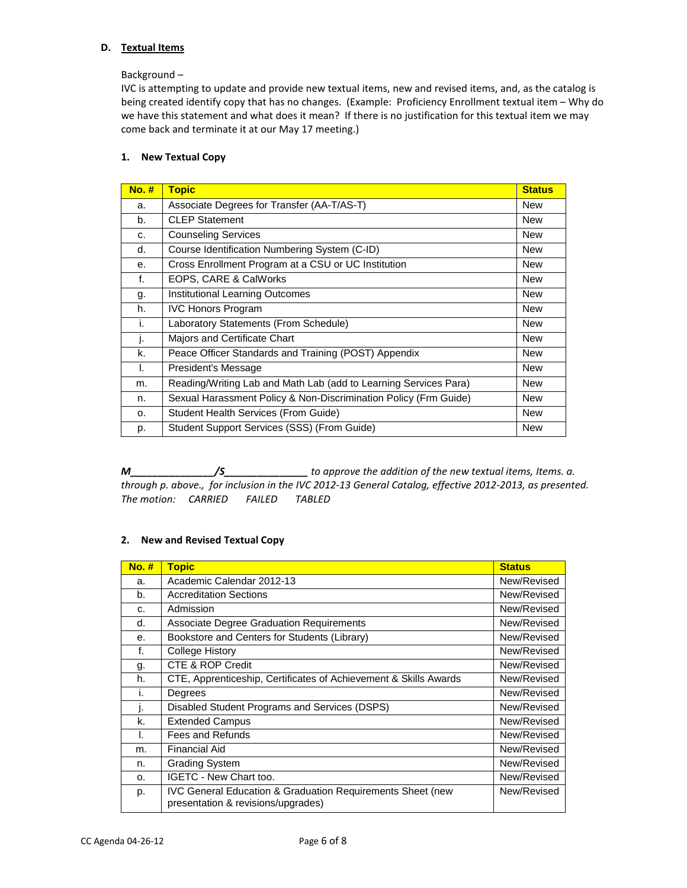# **D. Textual Items**

Background –

IVC is attempting to update and provide new textual items, new and revised items, and, as the catalog is being created identify copy that has no changes. (Example: Proficiency Enrollment textual item – Why do we have this statement and what does it mean? If there is no justification for this textual item we may come back and terminate it at our May 17 meeting.)

# **1. New Textual Copy**

| $No.$ # | <b>Topic</b>                                                     | <b>Status</b> |
|---------|------------------------------------------------------------------|---------------|
| a.      | Associate Degrees for Transfer (AA-T/AS-T)                       | New           |
| b.      | <b>CLEP Statement</b>                                            | New           |
| C.      | <b>Counseling Services</b>                                       | <b>New</b>    |
| d.      | Course Identification Numbering System (C-ID)                    | <b>New</b>    |
| е.      | Cross Enrollment Program at a CSU or UC Institution              | <b>New</b>    |
| f.      | EOPS, CARE & CalWorks                                            | <b>New</b>    |
| g.      | <b>Institutional Learning Outcomes</b>                           | New           |
| h.      | <b>IVC Honors Program</b>                                        | <b>New</b>    |
| i.      | Laboratory Statements (From Schedule)                            | <b>New</b>    |
| I.      | Majors and Certificate Chart                                     | <b>New</b>    |
| k.      | Peace Officer Standards and Training (POST) Appendix             | New           |
| I.      | President's Message                                              | <b>New</b>    |
| m.      | Reading/Writing Lab and Math Lab (add to Learning Services Para) | New           |
| n.      | Sexual Harassment Policy & Non-Discrimination Policy (Frm Guide) | <b>New</b>    |
| 0.      | Student Health Services (From Guide)                             | <b>New</b>    |
| p.      | Student Support Services (SSS) (From Guide)                      | <b>New</b>    |

*M\_\_\_\_\_\_\_\_\_\_\_\_\_\_\_/S\_\_\_\_\_\_\_\_\_\_\_\_\_\_\_ to approve the addition of the new textual items, Items. a. through p. above., for inclusion in the IVC 2012-13 General Catalog, effective 2012-2013, as presented. The motion: CARRIED FAILED TABLED*

# **2. New and Revised Textual Copy**

| <b>No. #</b> | <b>Topic</b>                                                                                                | <b>Status</b> |
|--------------|-------------------------------------------------------------------------------------------------------------|---------------|
| a.           | Academic Calendar 2012-13                                                                                   | New/Revised   |
| b.           | <b>Accreditation Sections</b>                                                                               | New/Revised   |
| C.           | Admission                                                                                                   | New/Revised   |
| d.           | <b>Associate Degree Graduation Requirements</b>                                                             | New/Revised   |
| е.           | Bookstore and Centers for Students (Library)                                                                | New/Revised   |
| f.           | College History                                                                                             | New/Revised   |
| g.           | CTE & ROP Credit                                                                                            | New/Revised   |
| h.           | CTE, Apprenticeship, Certificates of Achievement & Skills Awards                                            | New/Revised   |
| ι.           | Degrees                                                                                                     | New/Revised   |
| ı.           | Disabled Student Programs and Services (DSPS)                                                               | New/Revised   |
| k.           | <b>Extended Campus</b>                                                                                      | New/Revised   |
| I.           | Fees and Refunds                                                                                            | New/Revised   |
| m.           | <b>Financial Aid</b>                                                                                        | New/Revised   |
| n.           | <b>Grading System</b>                                                                                       | New/Revised   |
| $\Omega$ .   | <b>IGETC - New Chart too.</b>                                                                               | New/Revised   |
| p.           | <b>IVC General Education &amp; Graduation Requirements Sheet (new</b><br>presentation & revisions/upgrades) | New/Revised   |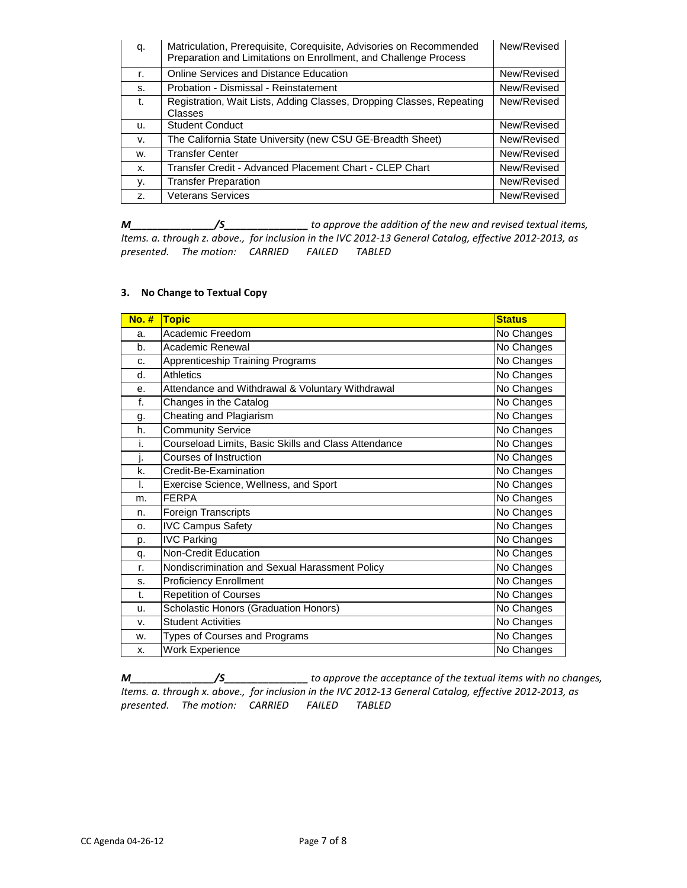| q. | Matriculation, Prerequisite, Corequisite, Advisories on Recommended<br>Preparation and Limitations on Enrollment, and Challenge Process | New/Revised |
|----|-----------------------------------------------------------------------------------------------------------------------------------------|-------------|
| r. | Online Services and Distance Education                                                                                                  | New/Revised |
| S. | Probation - Dismissal - Reinstatement                                                                                                   | New/Revised |
| t. | Registration, Wait Lists, Adding Classes, Dropping Classes, Repeating<br>Classes                                                        | New/Revised |
| u. | <b>Student Conduct</b>                                                                                                                  | New/Revised |
| v. | The California State University (new CSU GE-Breadth Sheet)                                                                              | New/Revised |
| W. | <b>Transfer Center</b>                                                                                                                  | New/Revised |
| X. | Transfer Credit - Advanced Placement Chart - CLEP Chart                                                                                 | New/Revised |
| у. | <b>Transfer Preparation</b>                                                                                                             | New/Revised |
| Z. | <b>Veterans Services</b>                                                                                                                | New/Revised |

*M\_\_\_\_\_\_\_\_\_\_\_\_\_\_\_/S\_\_\_\_\_\_\_\_\_\_\_\_\_\_\_ to approve the addition of the new and revised textual items, Items. a. through z. above., for inclusion in the IVC 2012-13 General Catalog, effective 2012-2013, as presented. The motion: CARRIED FAILED TABLED*

# **3. No Change to Textual Copy**

| $No.$ # | <b>Topic</b>                                         | <b>Status</b> |
|---------|------------------------------------------------------|---------------|
| a.      | Academic Freedom                                     | No Changes    |
| b.      | Academic Renewal                                     | No Changes    |
| c.      | <b>Apprenticeship Training Programs</b>              | No Changes    |
| d.      | Athletics                                            | No Changes    |
| е.      | Attendance and Withdrawal & Voluntary Withdrawal     | No Changes    |
| f.      | Changes in the Catalog                               | No Changes    |
| g.      | Cheating and Plagiarism                              | No Changes    |
| h.      | Community Service                                    | No Changes    |
| i.      | Courseload Limits, Basic Skills and Class Attendance | No Changes    |
| j.      | Courses of Instruction                               | No Changes    |
| k.      | Credit-Be-Examination                                | No Changes    |
| I.      | Exercise Science, Wellness, and Sport                | No Changes    |
| m.      | <b>FERPA</b>                                         | No Changes    |
| n.      | Foreign Transcripts                                  | No Changes    |
| o.      | <b>IVC Campus Safety</b>                             | No Changes    |
| p.      | <b>IVC Parking</b>                                   | No Changes    |
| q.      | Non-Credit Education                                 | No Changes    |
| r.      | Nondiscrimination and Sexual Harassment Policy       | No Changes    |
| S.      | <b>Proficiency Enrollment</b>                        | No Changes    |
| t.      | <b>Repetition of Courses</b>                         | No Changes    |
| u.      | Scholastic Honors (Graduation Honors)                | No Changes    |
| v.      | <b>Student Activities</b>                            | No Changes    |
| W.      | Types of Courses and Programs                        | No Changes    |
| X.      | <b>Work Experience</b>                               | No Changes    |

*M\_\_\_\_\_\_\_\_\_\_\_\_\_\_\_/S\_\_\_\_\_\_\_\_\_\_\_\_\_\_\_ to approve the acceptance of the textual items with no changes, Items. a. through x. above., for inclusion in the IVC 2012-13 General Catalog, effective 2012-2013, as presented. The motion: CARRIED FAILED TABLED*